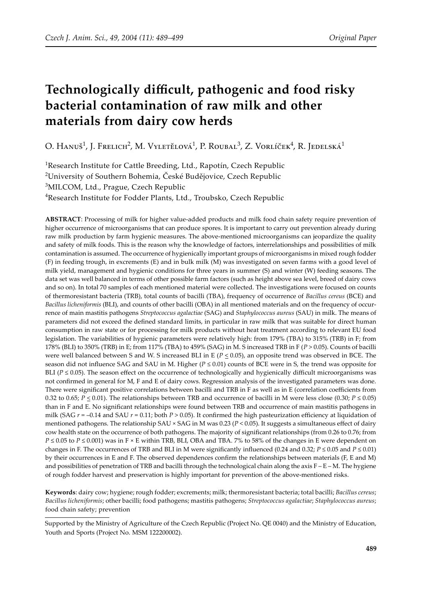# **Technologically difficult, pathogenic and food risky bacterial contamination of raw milk and other materials from dairy cow herds**

O. Hanuš $^1$ , J. Frelich $^2$ , M. Vyletělová $^1$ , P. Roubal $^3$ , Z. Vorlíček $^4$ , R. Jedelská $^1$ 

<sup>1</sup>Research Institute for Cattle Breeding, Ltd., Rapotín, Czech Republic 2 University of Southern Bohemia, České Budějovice, Czech Republic <sup>3</sup>MILCOM, Ltd., Prague, Czech Republic

<sup>4</sup>Research Institute for Fodder Plants, Ltd., Troubsko, Czech Republic

**ABSTRACT**: Processing of milk for higher value-added products and milk food chain safety require prevention of higher occurrence of microorganisms that can produce spores. It is important to carry out prevention already during raw milk production by farm hygienic measures. The above-mentioned microorganisms can jeopardize the quality and safety of milk foods. This is the reason why the knowledge of factors, interrelationships and possibilities of milk contamination is assumed. The occurrence of hygienically important groups of microorganisms in mixed rough fodder (F) in feeding trough, in excrements (E) and in bulk milk (M) was investigated on seven farms with a good level of milk yield, management and hygienic conditions for three years in summer (S) and winter (W) feeding seasons. The data set was well balanced in terms of other possible farm factors (such as height above sea level, breed of dairy cows and so on). In total 70 samples of each mentioned material were collected. The investigations were focused on counts of thermoresistant bacteria (TRB), total counts of bacilli (TBA), frequency of occurrence of *Bacillus cereus* (BCE) and *Bacillus licheniformis* (BLI), and counts of other bacilli (OBA) in all mentioned materials and on the frequency of occurrence of main mastitis pathogens *Streptococcus agalactiae* (SAG) and *Staphylococcus aureus* (SAU) in milk. The means of parameters did not exceed the defined standard limits, in particular in raw milk that was suitable for direct human consumption in raw state or for processing for milk products without heat treatment according to relevant EU food legislation. The variabilities of hygienic parameters were relatively high: from 179% (TBA) to 315% (TRB) in F; from 178% (BLI) to 350% (TRB) in E; from 117% (TBA) to 459% (SAG) in M. S increased TRB in F (*P* > 0.05). Counts of bacilli were well balanced between S and W. S increased BLI in E ( $P \le 0.05$ ), an opposite trend was observed in BCE. The season did not influence SAG and SAU in M. Higher ( $P \le 0.01$ ) counts of BCE were in S, the trend was opposite for BLI ( $P \le 0.05$ ). The season effect on the occurrence of technologically and hygienically difficult microorganisms was not confirmed in general for M, F and E of dairy cows. Regression analysis of the investigated parameters was done. There were significant positive correlations between bacilli and TRB in F as well as in E (correlation coefficients from 0.32 to 0.65;  $P \le 0.01$ ). The relationships between TRB and occurrence of bacilli in M were less close (0.30;  $P \le 0.05$ ) than in F and E. No significant relationships were found between TRB and occurrence of main mastitis pathogens in milk (SAG  $r = -0.14$  and SAU  $r = 0.11$ ; both  $P > 0.05$ ). It confirmed the high pasteurization efficiency at liquidation of mentioned pathogens. The relationship SAU × SAG in M was 0.23 (*P* < 0.05). It suggests a simultaneous effect of dairy cow health state on the occurrence of both pathogens. The majority of significant relationships (from 0.26 to 0.76; from  $P \le 0.05$  to  $P \le 0.001$ ) was in F × E within TRB, BLI, OBA and TBA. 7% to 58% of the changes in E were dependent on changes in F. The occurrences of TRB and BLI in M were significantly influenced (0.24 and 0.32;  $P \le 0.05$  and  $P \le 0.01$ ) by their occurrences in E and F. The observed dependences confirm the relationships between materials (F, E and M) and possibilities of penetration of TRB and bacilli through the technological chain along the axis  $F - E - M$ . The hygiene of rough fodder harvest and preservation is highly important for prevention of the above-mentioned risks.

**Keywords**: dairy cow; hygiene; rough fodder; excrements; milk; thermoresistant bacteria; total bacilli; *Bacillus cereus*; *Bacillus licheniformis*; other bacilli; food pathogens; mastitis pathogens; *Streptococcus agalactiae*; *Staphylococcus aureus*; food chain safety; prevention

Supported by the Ministry of Agriculture of the Czech Republic (Project No. QE 0040) and the Ministry of Education, Youth and Sports (Project No. MSM 122200002).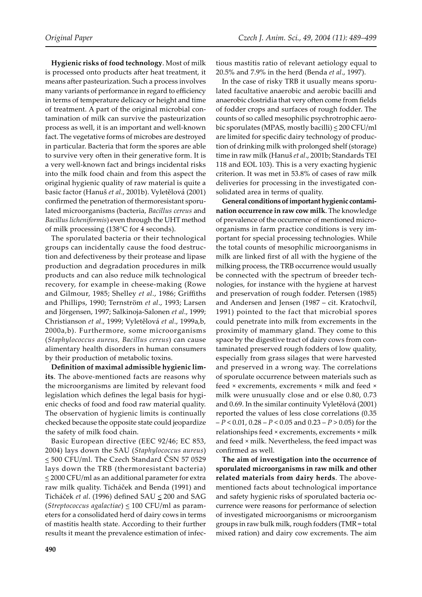**Hygienic risks of food technology**. Most of milk is processed onto products after heat treatment, it means after pasteurization. Such a process involves many variants of performance in regard to efficiency in terms of temperature delicacy or height and time of treatment. A part of the original microbial contamination of milk can survive the pasteurization process as well, it is an important and well-known fact. The vegetative forms of microbes are destroyed in particular. Bacteria that form the spores are able to survive very often in their generative form. It is a very well-known fact and brings incidental risks into the milk food chain and from this aspect the original hygienic quality of raw material is quite a basic factor (Hanuš *et al*., 2001b). Vyletělová (2001) confirmed the penetration of thermoresistant sporulated microorganisms (bacteria, *Bacillus cereus* and *Bacillus licheniformis*) even through the UHT method of milk processing (138°C for 4 seconds).

The sporulated bacteria or their technological groups can incidentally cause the food destruction and defectiveness by their protease and lipase production and degradation procedures in milk products and can also reduce milk technological recovery, for example in cheese-making (Rowe and Gilmour, 1985; Shelley *et al*., 1986; Griffiths and Phillips, 1990; Ternström *et al*., 1993; Larsen and Jörgensen, 1997; Salkinoja-Salonen *et al*., 1999; Christianson *et al*., 1999; Vyletělová *et al*., 1999a,b, 2000a,b). Furthermore, some microorganisms (*Staphylococcus aureus, Bacillus cereus*) can cause alimentary health disorders in human consumers by their production of metabolic toxins.

**Definition of maximal admissible hygienic limits**. The above-mentioned facts are reasons why the microorganisms are limited by relevant food legislation which defines the legal basis for hygienic checks of food and food raw material quality. The observation of hygienic limits is continually checked because the opposite state could jeopardize the safety of milk food chain.

Basic European directive (EEC 92/46; EC 853, 2004) lays down the SAU (*Staphylococcus aureus*) < 500 CFU/ml. The Czech Standard ČSN 57 0529 lays down the TRB (thermoresistant bacteria)  $\leq$  2000 CFU/ml as an additional parameter for extra raw milk quality. Ticháček and Benda (1991) and Ticháček *et al*. (1996) defined SAU < 200 and SAG (*Streptococcus agalactiae*) < 100 CFU/ml as parameters for a consolidated herd of dairy cows in terms of mastitis health state. According to their further results it meant the prevalence estimation of infec-

tious mastitis ratio of relevant aetiology equal to 20.5% and 7.9% in the herd (Benda *et al*., 1997).

In the case of risky TRB it usually means sporulated facultative anaerobic and aerobic bacilli and anaerobic clostridia that very often come from fields of fodder crops and surfaces of rough fodder. The counts of so called mesophilic psychrotrophic aerobic sporulates (MPAS, mostly bacilli) < 200 CFU/ml are limited for specific dairy technology of production of drinking milk with prolonged shelf (storage) time in raw milk (Hanuš *et al*., 2001b; Standards TEI 118 and EOL 103). This is a very exacting hygienic criterion. It was met in 53.8% of cases of raw milk deliveries for processing in the investigated consolidated area in terms of quality.

**General conditions of important hygienic contamination occurrence in raw cow milk**. The knowledge of prevalence of the occurrence of mentioned microorganisms in farm practice conditions is very important for special processing technologies. While the total counts of mesophilic microorganisms in milk are linked first of all with the hygiene of the milking process, the TRB occurrence would usually be connected with the spectrum of breeder technologies, for instance with the hygiene at harvest and preservation of rough fodder. Petersen (1985) and Andersen and Jensen (1987 – cit. Kratochvíl, 1991) pointed to the fact that microbial spores could penetrate into milk from excrements in the proximity of mammary gland. They come to this space by the digestive tract of dairy cows from contaminated preserved rough fodders of low quality, especially from grass silages that were harvested and preserved in a wrong way. The correlations of sporulate occurrence between materials such as feed × excrements, excrements × milk and feed × milk were unusually close and or else 0.80, 0.73 and 0.69. In the similar continuity Vyletělová (2001) reported the values of less close correlations (0.35 – *P* < 0.01, 0.28 – *P* < 0.05 and 0.23 – *P* > 0.05) for the relationships feed × excrements, excrements × milk and feed × milk. Nevertheless, the feed impact was confirmed as well.

**The aim of investigation into the occurrence of sporulated microorganisms in raw milk and other related materials from dairy herds**. The abovementioned facts about technological importance and safety hygienic risks of sporulated bacteria occurrence were reasons for performance of selection of investigated microorganisms or microorganism groups in raw bulk milk, rough fodders (TMR = total mixed ration) and dairy cow excrements. The aim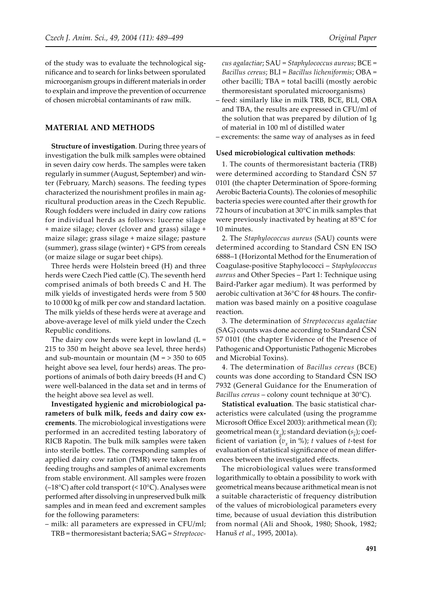of the study was to evaluate the technological significance and to search for links between sporulated microorganism groups in different materials in order to explain and improve the prevention of occurrence of chosen microbial contaminants of raw milk.

#### **MATERIAL AND METHODS**

**Structure of investigation**. During three years of investigation the bulk milk samples were obtained in seven dairy cow herds. The samples were taken regularly in summer (August, September) and winter (February, March) seasons. The feeding types characterized the nourishment profiles in main agricultural production areas in the Czech Republic. Rough fodders were included in dairy cow rations for individual herds as follows: lucerne silage + maize silage; clover (clover and grass) silage + maize silage; grass silage + maize silage; pasture (summer), grass silage (winter) + GPS from cereals (or maize silage or sugar beet chips).

Three herds were Holstein breed (H) and three herds were Czech Pied cattle (C). The seventh herd comprised animals of both breeds C and H. The milk yields of investigated herds were from 5 500 to 10 000 kg of milk per cow and standard lactation. The milk yields of these herds were at average and above-average level of milk yield under the Czech Republic conditions.

The dairy cow herds were kept in lowland  $(L =$ 215 to 350 m height above sea level, three herds) and sub-mountain or mountain ( $M = > 350$  to 605 height above sea level, four herds) areas. The proportions of animals of both dairy breeds (H and C) were well-balanced in the data set and in terms of the height above sea level as well.

**Investigated hygienic and microbiological parameters of bulk milk, feeds and dairy cow excrements**. The microbiological investigations were performed in an accredited testing laboratory of RICB Rapotin. The bulk milk samples were taken into sterile bottles. The corresponding samples of applied dairy cow ration (TMR) were taken from feeding troughs and samples of animal excrements from stable environment. All samples were frozen  $(-18^{\circ}C)$  after cold transport (<  $10^{\circ}C$ ). Analyses were performed after dissolving in unpreserved bulk milk samples and in mean feed and excrement samples for the following parameters:

– milk: all parameters are expressed in CFU/ml; TRB = thermoresistant bacteria; SAG = *Streptococ-*

*cus agalactiae*; SAU = *Staphylococcus aureus*; BCE = *Bacillus cereus*; BLI = *Bacillus licheniformis*; OBA = other bacilli; TBA = total bacilli (mostly aerobic thermoresistant sporulated microorganisms)

- feed: similarly like in milk TRB, BCE, BLI, OBA and TBA, the results are expressed in CFU/ml of the solution that was prepared by dilution of 1g of material in 100 ml of distilled water
- excrements: the same way of analyses as in feed

#### **Used microbiological cultivation methods**:

1. The counts of thermoresistant bacteria (TRB) were determined according to Standard ČSN 57 0101 (the chapter Determination of Spore-forming Aerobic Bacteria Counts). The colonies of mesophilic bacteria species were counted after their growth for 72 hours of incubation at 30°C in milk samples that were previously inactivated by heating at 85°C for 10 minutes.

2. The *Staphylococcus aureus* (SAU) counts were determined according to Standard ČSN EN ISO 6888–1 (Horizontal Method for the Enumeration of Coagulase-positive Staphylococci – *Staphylococcus aureus* and Other Species – Part 1: Technique using Baird-Parker agar medium). It was performed by aerobic cultivation at 36°C for 48 hours. The confirmation was based mainly on a positive coagulase reaction.

3. The determination of *Streptococcus agalactiae* (SAG) counts was done according to Standard ČSN 57 0101 (the chapter Evidence of the Presence of Pathogenic and Opportunistic Pathogenic Microbes and Microbial Toxins).

4. The determination of *Bacillus cereus* (BCE) counts was done according to Standard ČSN ISO 7932 (General Guidance for the Enumeration of *Bacillus cereus* – colony count technique at 30°C).

**Statistical evaluation**. The basic statistical characteristics were calculated (using the programme Microsoft Office Excel 2003): arithmetical mean ( $\bar{x}$ ); geometrical mean  $(x_g)$ ; standard deviation  $(s_{\overline{x}})$ ; coefficient of variation  $(v_x$  in %); *t* values of *t*-test for evaluation of statistical significance of mean differences between the investigated effects.

The microbiological values were transformed logarithmically to obtain a possibility to work with geometrical means because arithmetical mean is not a suitable characteristic of frequency distribution of the values of microbiological parameters every time, because of usual deviation this distribution from normal (Ali and Shook, 1980; Shook, 1982; Hanuš *et al*., 1995, 2001a).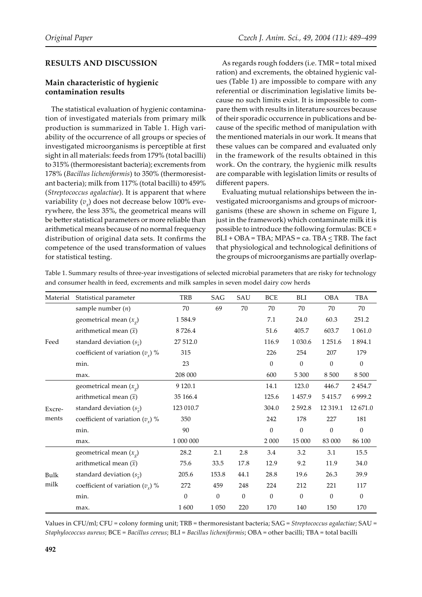## **RESULTS AND DISCUSSION**

## **Main characteristic of hygienic contamination results**

The statistical evaluation of hygienic contamination of investigated materials from primary milk production is summarized in Table 1. High variability of the occurrence of all groups or species of investigated microorganisms is perceptible at first sight in all materials: feeds from 179% (total bacilli) to 315% (thermoresistant bacteria); excrements from 178% (*Bacillus licheniformis*) to 350% (thermoresistant bacteria); milk from 117% (total bacilli) to 459% (*Streptococcus agalactiae*). It is apparent that where variability  $(v_x)$  does not decrease below 100% everywhere, the less 35%, the geometrical means will be better statistical parameters or more reliable than arithmetical means because of no normal frequency distribution of original data sets. It confirms the competence of the used transformation of values for statistical testing.

As regards rough fodders (i.e. TMR = total mixed ration) and excrements, the obtained hygienic values (Table 1) are impossible to compare with any referential or discrimination legislative limits because no such limits exist. It is impossible to compare them with results in literature sources because of their sporadic occurrence in publications and because of the specific method of manipulation with the mentioned materials in our work. It means that these values can be compared and evaluated only in the framework of the results obtained in this work. On the contrary, the hygienic milk results are comparable with legislation limits or results of different papers.

Evaluating mutual relationships between the investigated microorganisms and groups of microorganisms (these are shown in scheme on Figure 1, just in the framework) which contaminate milk it is possible to introduce the following formulas: BCE + BLI + OBA = TBA; MPAS = ca. TBA < TRB. The fact that physiological and technological definitions of the groups of microorganisms are partially overlap-

Table 1. Summary results of three-year investigations of selected microbial parameters that are risky for technology and consumer health in feed, excrements and milk samples in seven model dairy cow herds

| Material        | Statistical parameter                   | <b>TRB</b>   | SAG      | SAU      | BCE          | BLI          | <b>OBA</b>   | TBA              |
|-----------------|-----------------------------------------|--------------|----------|----------|--------------|--------------|--------------|------------------|
|                 | sample number $(n)$                     | 70           | 69       | 70       | 70           | 70           | 70           | 70               |
| Feed            | geometrical mean $(x_0)$                | 1584.9       |          |          | 7.1          | 24.0         | 60.3         | 251.2            |
|                 | arithmetical mean $(\bar{x})$           | 8726.4       |          |          | 51.6         | 405.7        | 603.7        | 1 061.0          |
|                 | standard deviation $(s_{\overline{x}})$ | 27 512.0     |          |          | 116.9        | 1 0 3 0.6    | 1 2 5 1 .6   | 1894.1           |
|                 | coefficient of variation $(v_r)$ %      | 315          |          |          | 226          | 254          | 207          | 179              |
|                 | min.                                    | 23           |          |          | $\mathbf{0}$ | $\theta$     | $\mathbf{0}$ | $\mathbf{0}$     |
|                 | max.                                    | 208 000      |          |          | 600          | 5 3 0 0      | 8 5 0 0      | 8 5 0 0          |
| Excre-<br>ments | geometrical mean $(x_0)$                | 9 1 2 0.1    |          |          | 14.1         | 123.0        | 446.7        | 2 4 5 4.7        |
|                 | arithmetical mean $(\bar{x})$           | 35 166.4     |          |          | 125.6        | 1457.9       | 5415.7       | 6 9 9 9.2        |
|                 | standard deviation $(s_{\tau})$         | 123 010.7    |          |          | 304.0        | 2 5 9 2.8    | 12 3 19.1    | 12 671.0         |
|                 | coefficient of variation $(v_x)$ %      | 350          |          |          | 242          | 178          | 227          | 181              |
|                 | min.                                    | 90           |          |          | $\mathbf{0}$ | $\mathbf{0}$ | $\mathbf{0}$ | $\boldsymbol{0}$ |
|                 | max.                                    | 1 000 000    |          |          | 2 000        | 15 000       | 83 000       | 86 100           |
|                 | geometrical mean $(x_0)$                | 28.2         | 2.1      | 2.8      | 3.4          | 3.2          | 3.1          | 15.5             |
|                 | arithmetical mean $(\overline{x})$      | 75.6         | 33.5     | 17.8     | 12.9         | 9.2          | 11.9         | 34.0             |
| Bulk            | standard deviation $(s_{\tau})$         | 205.6        | 153.8    | 44.1     | 28.8         | 19.6         | 26.3         | 39.9             |
| milk            | coefficient of variation $(v_x)$ %      | 272          | 459      | 248      | 224          | 212          | 221          | 117              |
|                 | min.                                    | $\mathbf{0}$ | $\theta$ | $\Omega$ | $\mathbf{0}$ | $\mathbf{0}$ | $\mathbf{0}$ | $\overline{0}$   |
|                 | max.                                    | 1600         | 1 0 5 0  | 220      | 170          | 140          | 150          | 170              |

Values in CFU/ml; CFU = colony forming unit; TRB = thermoresistant bacteria; SAG = *Streptococcus agalactiae*; SAU = *Staphylococcus aureus*; BCE = *Bacillus cereus*; BLI = *Bacillus licheniformis*; OBA = other bacilli; TBA = total bacilli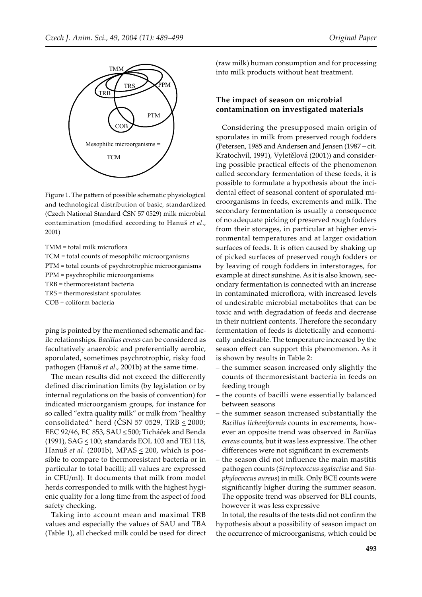

Figure 1. The pattern of possible schematic physiological and technological distribution of basic, standardized (Czech National Standard ČSN 57 0529) milk microbial contamination (modified according to Hanuš *et al*., 2001)

TMM = total milk microflora

- TCM = total counts of mesophilic microorganisms
- PTM = total counts of psychrotrophic microorganisms
- PPM = psychrophilic microorganisms

TRB = thermoresistant bacteria

TRS = thermoresistant sporulates

COB = coliform bacteria

ping is pointed by the mentioned schematic and facile relationships. *Bacillus cereus* can be considered as facultatively anaerobic and preferentially aerobic, sporulated, sometimes psychrotrophic, risky food pathogen (Hanuš *et al*., 2001b) at the same time.

The mean results did not exceed the differently defined discrimination limits (by legislation or by internal regulations on the basis of convention) for indicated microorganism groups, for instance for so called "extra quality milk" or milk from "healthy consolidated" herd (ČSN 57 0529, TRB  $\leq$  2000; EEC 92/46, EC 853, SAU < 500; Ticháček and Benda (1991), SAG  $\leq$  100; standards EOL 103 and TEI 118, Hanuš *et al*. (2001b), MPAS < 200, which is possible to compare to thermoresistant bacteria or in particular to total bacilli; all values are expressed in CFU/ml). It documents that milk from model herds corresponded to milk with the highest hygienic quality for a long time from the aspect of food safety checking.

Taking into account mean and maximal TRB values and especially the values of SAU and TBA (Table 1), all checked milk could be used for direct

(raw milk) human consumption and for processing into milk products without heat treatment.

#### **The impact of season on microbial contamination on investigated materials**

Considering the presupposed main origin of sporulates in milk from preserved rough fodders (Petersen, 1985 and Andersen and Jensen (1987 – cit. Kratochvíl, 1991), Vyletělová (2001)) and considering possible practical effects of the phenomenon called secondary fermentation of these feeds, it is possible to formulate a hypothesis about the incidental effect of seasonal content of sporulated microorganisms in feeds, excrements and milk. The secondary fermentation is usually a consequence of no adequate picking of preserved rough fodders from their storages, in particular at higher environmental temperatures and at larger oxidation surfaces of feeds. It is often caused by shaking up of picked surfaces of preserved rough fodders or by leaving of rough fodders in interstorages, for example at direct sunshine. As it is also known, secondary fermentation is connected with an increase in contaminated microflora, with increased levels of undesirable microbial metabolites that can be toxic and with degradation of feeds and decrease in their nutrient contents. Therefore the secondary fermentation of feeds is dietetically and economically undesirable. The temperature increased by the season effect can support this phenomenon. As it is shown by results in Table 2:

- the summer season increased only slightly the counts of thermoresistant bacteria in feeds on feeding trough
- the counts of bacilli were essentially balanced between seasons
- the summer season increased substantially the *Bacillus licheniformis* counts in excrements, however an opposite trend was observed in *Bacillus cereus* counts, but it was less expressive. The other differences were not significant in excrements
- the season did not influence the main mastitis pathogen counts (*Streptococcus agalactiae* and *Staphylococcus aureus*) in milk. Only BCE counts were significantly higher during the summer season. The opposite trend was observed for BLI counts, however it was less expressive

In total, the results of the tests did not confirm the hypothesis about a possibility of season impact on the occurrence of microorganisms, which could be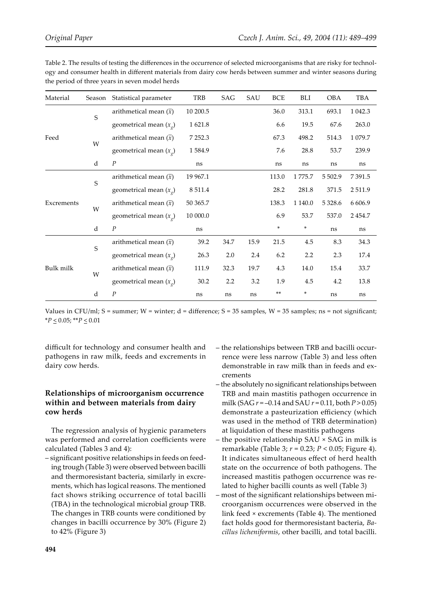| Material   | Season      | Statistical parameter              | TRB       | SAG  | SAU  | <b>BCE</b> | BLI     | <b>OBA</b> | TBA       |
|------------|-------------|------------------------------------|-----------|------|------|------------|---------|------------|-----------|
| Feed       | S           | arithmetical mean $(\bar{x})$      | 10 200.5  |      |      | 36.0       | 313.1   | 693.1      | 1 0 4 2.3 |
|            |             | geometrical mean $(x_{\varrho})$   | 1621.8    |      |      | 6.6        | 19.5    | 67.6       | 263.0     |
|            |             | arithmetical mean $(\bar{x})$      | 7 2 5 2.3 |      |      | 67.3       | 498.2   | 514.3      | 1 0 79.7  |
|            | W           | geometrical mean $(x_g)$           | 1584.9    |      |      | 7.6        | 28.8    | 53.7       | 239.9     |
|            | d           | $\cal P$                           | ns        |      |      | ns         | ns      | ns         | ns        |
| Excrements | S           | arithmetical mean $(\overline{x})$ | 19 967.1  |      |      | 113.0      | 1775.7  | 5 5 0 2.9  | 7 3 9 1.5 |
|            |             | geometrical mean $(x_{\varrho})$   | 8 5 1 1.4 |      |      | 28.2       | 281.8   | 371.5      | 2511.9    |
|            |             | arithmetical mean $(\overline{x})$ | 50 365.7  |      |      | 138.3      | 1 140.0 | 5 3 28.6   | 6 6 0 6.9 |
|            | W           | geometrical mean $(x_{\varrho})$   | 10 000.0  |      |      | 6.9        | 53.7    | 537.0      | 2 4 5 4.7 |
|            | $\rm d$     | $\cal P$                           | ns        |      |      | $\ast$     | $\ast$  | ns         | ns        |
| Bulk milk  | $\mathsf S$ | arithmetical mean $(\bar{x})$      | 39.2      | 34.7 | 15.9 | 21.5       | 4.5     | 8.3        | 34.3      |
|            |             | geometrical mean $(x_g)$           | 26.3      | 2.0  | 2.4  | 6.2        | 2.2     | 2.3        | 17.4      |
|            | W           | arithmetical mean $(\bar{x})$      | 111.9     | 32.3 | 19.7 | $4.3\,$    | 14.0    | 15.4       | 33.7      |
|            |             | geometrical mean $(x_g)$           | 30.2      | 2.2  | 3.2  | 1.9        | 4.5     | 4.2        | 13.8      |
|            | $\rm d$     | $\cal P$                           | ns        | ns   | ns   | $***$      | *       | ns         | ns        |

Table 2. The results of testing the differences in the occurrence of selected microorganisms that are risky for technology and consumer health in different materials from dairy cow herds between summer and winter seasons during the period of three years in seven model herds

Values in CFU/ml; S = summer; W = winter;  $d$  = difference; S = 35 samples, W = 35 samples; ns = not significant;  $*P \leq 0.05$ ;  $*P \leq 0.01$ 

difficult for technology and consumer health and pathogens in raw milk, feeds and excrements in dairy cow herds.

### **Relationships of microorganism occurrence within and between materials from dairy cow herds**

The regression analysis of hygienic parameters was performed and correlation coefficients were calculated (Tables 3 and 4):

– significant positive relationships in feeds on feeding trough (Table 3) were observed between bacilli and thermoresistant bacteria, similarly in excrements, which has logical reasons. The mentioned fact shows striking occurrence of total bacilli (TBA) in the technological microbial group TRB. The changes in TRB counts were conditioned by changes in bacilli occurrence by 30% (Figure 2) to 42% (Figure 3)

- the relationships between TRB and bacilli occurrence were less narrow (Table 3) and less often demonstrable in raw milk than in feeds and excrements
- the absolutely no significant relationships between TRB and main mastitis pathogen occurrence in milk (SAG *r* = –0.14 and SAU *r* = 0.11, both *P* > 0.05) demonstrate a pasteurization efficiency (which was used in the method of TRB determination) at liquidation of these mastitis pathogens
- the positive relationship SAU × SAG in milk is remarkable (Table 3; *r* = 0.23; *P* < 0.05; Figure 4). It indicates simultaneous effect of herd health state on the occurrence of both pathogens. The increased mastitis pathogen occurrence was related to higher bacilli counts as well (Table 3)
- most of the significant relationships between microorganism occurrences were observed in the link feed × excrements (Table 4). The mentioned fact holds good for thermoresistant bacteria, *Bacillus licheniformis*, other bacilli, and total bacilli.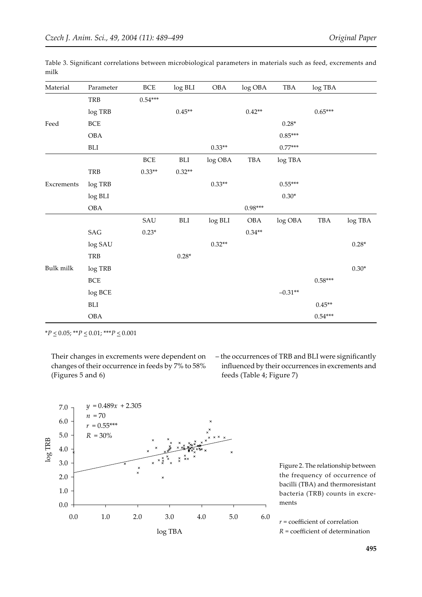| Material   | Parameter            | $BCE$      | log BLI  | OBA      | log OBA   | TBA       | log TBA      |         |
|------------|----------------------|------------|----------|----------|-----------|-----------|--------------|---------|
|            | TRB                  | $0.54***$  |          |          |           |           |              |         |
|            | log TRB              |            | $0.45**$ |          | $0.42**$  |           | $0.65***$    |         |
| Feed       | $\operatorname{BCE}$ |            |          |          |           | $0.28*$   |              |         |
|            | $\rm OBA$            |            |          |          |           | $0.85***$ |              |         |
|            | BLI                  |            |          | $0.33**$ |           | $0.77***$ |              |         |
|            |                      | <b>BCE</b> | BLI      | log OBA  | TBA       | log TBA   |              |         |
|            | TRB                  | $0.33**$   | $0.32**$ |          |           |           |              |         |
| Excrements | $\log \mathrm{TRB}$  |            |          | $0.33**$ |           | $0.55***$ |              |         |
|            | log BLI              |            |          |          |           | $0.30*$   |              |         |
|            | $\rm OBA$            |            |          |          | $0.98***$ |           |              |         |
|            |                      | SAU        | BLI      | log BLI  | OBA       | log OBA   | $_{\rm TBA}$ | log TBA |
|            | SAG                  | $0.23*$    |          |          | $0.34**$  |           |              |         |
|            | $\log\text{SAU}$     |            |          | $0.32**$ |           |           |              | $0.28*$ |
|            | TRB                  |            | $0.28*$  |          |           |           |              |         |
| Bulk milk  | $\log \mathrm{TRB}$  |            |          |          |           |           |              | $0.30*$ |
|            | $\operatorname{BCE}$ |            |          |          |           |           | $0.58***$    |         |
|            | log BCE              |            |          |          |           | $-0.31**$ |              |         |
|            | BLI                  |            |          |          |           |           | $0.45**$     |         |
|            | OBA                  |            |          |          |           |           | $0.54***$    |         |

Table 3. Significant correlations between microbiological parameters in materials such as feed, excrements and milk

\**P* < 0.05; \*\**P* < 0.01; \*\*\**P* < 0.001

Their changes in excrements were dependent on changes of their occurrence in feeds by 7% to 58% (Figures 5 and 6)

– the occurrences of TRB and BLI were significantly influenced by their occurrences in excrements and feeds (Table 4; Figure 7)



Figure 2. The relationship between the frequency of occurrence of bacilli (TBA) and thermoresistant bacteria (TRB) counts in excrements

*r* = coefficient of correlation *R* = coefficient of determination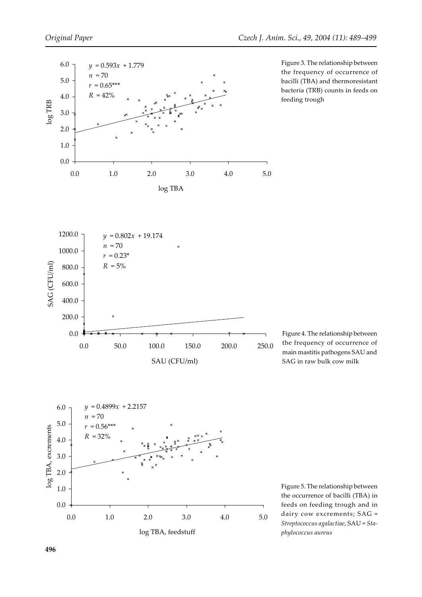

Figure 3. The relationship between the frequency of occurrence of bacilli (TBA) and thermoresistant bacteria (TRB) counts in feeds on feeding trough







Figure 5. The relationship between the occurrence of bacilli (TBA) in feeds on feeding trough and in dairy cow excrements; SAG = *Streptococcus agalactiae*, SAU = *Staphylococcus aureus*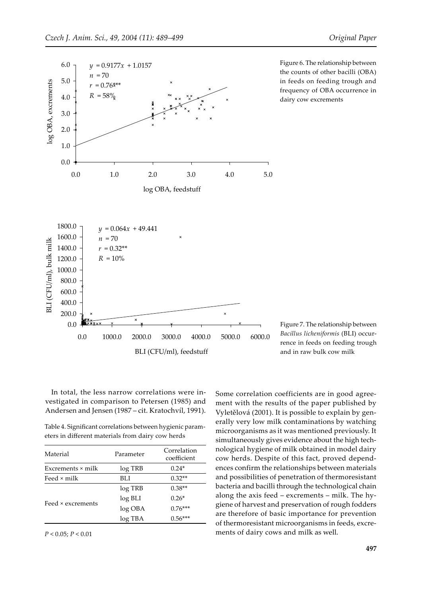

Figure 6. The relationship between the counts of other bacilli (OBA) in feeds on feeding trough and frequency of OBA occurrence in dairy cow excrements

Figure 7. The relationship between *Bacillus licheniformis* (BLI) occurrence in feeds on feeding trough and in raw bulk cow milk

In total, the less narrow correlations were investigated in comparison to Petersen (1985) and Andersen and Jensen (1987 – cit. Kratochvíl, 1991).

Table 4. Significant correlations between hygienic parameters in different materials from dairy cow herds

| Material                 | Parameter | Correlation<br>coefficient |  |  |
|--------------------------|-----------|----------------------------|--|--|
| Excrements $\times$ milk | log TRB   | $0.24*$                    |  |  |
| Feed × milk              | BLI       | $0.32**$                   |  |  |
|                          | log TRB   | $0.38**$                   |  |  |
|                          | log BLI   | $0.26*$                    |  |  |
| Feed × excrements        | $log$ OBA | $0.76***$                  |  |  |
|                          | log TBA   | $0.56***$                  |  |  |

*P* < 0.05; *P* < 0.01

Some correlation coefficients are in good agreement with the results of the paper published by Vyletělová (2001). It is possible to explain by generally very low milk contaminations by watching microorganisms as it was mentioned previously. It simultaneously gives evidence about the high technological hygiene of milk obtained in model dairy cow herds. Despite of this fact, proved dependences confirm the relationships between materials and possibilities of penetration of thermoresistant bacteria and bacilli through the technological chain along the axis feed – excrements – milk. The hygiene of harvest and preservation of rough fodders are therefore of basic importance for prevention of thermoresistant microorganisms in feeds, excrements of dairy cows and milk as well.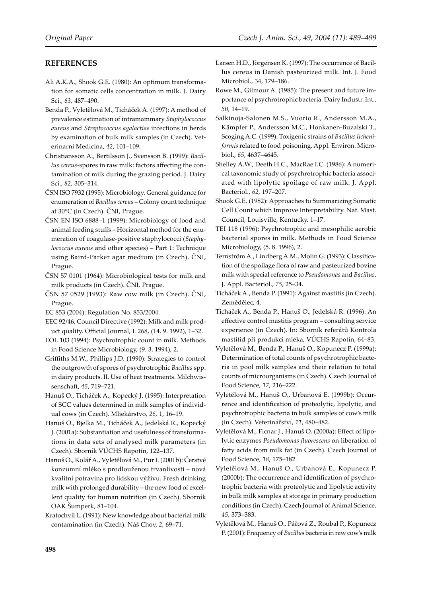#### **REFERENCES**

- Ali A.K.A., Shook G.E. (1980): An optimum transformation for somatic cells concentration in milk. J. Dairy Sci., *63,* 487–490.
- Benda P., Vyletělová M., Ticháček A. (1997): A method of prevalence estimation of intramammary *Staphylococcus aureus* and *Streptococcus agalactiae* infections in herds by examination of bulk milk samples (in Czech). Veterinarni Medicina, *42*, 101–109.
- Christiansson A., Bertilsson J., Svensson B. (1999): *Bacillus cereus*-spores in raw milk: factors affecting the contamination of milk during the grazing period. J. Dairy Sci., *82*, 305–314.
- ČSN ISO 7932 (1995): Microbiology. General guidance for enumeration of *Bacillus cereus* – Colony count technique at 30°C (in Czech). ČNI, Prague.
- ČSN EN ISO 6888–1 (1999): Microbiology of food and animal feeding stuffs – Horizontal method for the enumeration of coagulase-positive staphylococci (*Staphylococcus aureus* and other species) – Part 1: Technique using Baird-Parker agar medium (in Czech). ČNI, Prague.
- ČSN 57 0101 (1964): Microbiological tests for milk and milk products (in Czech). ČNI, Prague.
- ČSN 57 0529 (1993): Raw cow milk (in Czech). ČNI, Prague.
- EC 853 (2004): Regulation No. 853/2004.
- EEC 92/46, Council Directive (1992): Milk and milk product quality. Official Journal, L 268, (14. 9. 1992), 1–32.
- EOL 103 (1994): Psychrotrophic count in milk. Methods in Food Science Microbiology, (9. 3. 1994), 2.
- Griffiths M.W., Phillips J.D. (1990): Strategies to control the outgrowth of spores of psychrotrophic *Bacillus* spp. in dairy products. II. Use of heat treatments. Milchwissenscha�, *45*, 719–721.
- Hanuš O., Ticháček A., Kopecký J. (1995): Interpretation of SCC values determined in milk samples of individual cows (in Czech). Mliekárstvo, *26,* 1, 16–19.
- Hanuš O., Bjelka M., Ticháček A., Jedelská R., Kopecký J. (2001a): Substantiation and usefulness of transformations in data sets of analysed milk parameters (in Czech). Sborník VÚCHS Rapotín, 122–137.
- Hanuš O., Kolář A., Vyletělová M., Pur I. (2001b): Čerstvé konzumní mléko s prodlouženou trvanlivostí – nová kvalitní potravina pro lidskou výživu. Fresh drinking milk with prolonged durability – the new food of excellent quality for human nutrition (in Czech). Sborník OAK Šumperk, 81–104.
- Kratochvíl L. (1991): New knowledge about bacterial milk contamination (in Czech). Náš Chov, *2*, 69–71.
- Larsen H.D., Jörgensen K. (1997): The occurrence of Bacillus cereus in Danish pasteurized milk. Int. J. Food Microbiol., 34, 179–186.
- Rowe M., Gilmour A. (1985): The present and future importance of psychrotrophic bacteria*.* Dairy Industr. Int., *50,* 14–19.
- Salkinoja-Salonen M.S., Vuorio R., Andersson M.A., Kämpfer P., Andersson M.C., Honkanen-Buzalski T., Scoging A.C. (1999): Toxigenic strains of *Bacillus licheniformis* related to food poisoning. Appl. Environ. Microbiol., *65,* 4637–4645.
- Shelley A.W., Deeth H.C., MacRae I.C. (1986): A numerical taxonomic study of psychrotrophic bacteria associated with lipolytic spoilage of raw milk. J. Appl. Bacteriol., *62,* 197–207.
- Shook G.E. (1982): Approaches to Summarizing Somatic Cell Count which Improve Interpretability. Nat. Mast. Council, Louisville, Kentucky. 1–17.
- TEI 118 (1996): Psychrotrophic and mesophilic aerobic bacterial spores in milk. Methods in Food Science Microbiology, (5. 8. 1996), 2.
- Ternström A., Lindberg A.M., Molin G. (1993): Classification of the spoilage flora of raw and pasteurized bovine milk with special reference to *Pseudomonas* and *Bacillus*. J. Appl. Bacteriol., *75*, 25–34.
- Ticháček A., Benda P. (1991): Against mastitis (in Czech). Zemědělec, 4.
- Ticháček A., Benda P., Hanuš O., Jedelská R. (1996): An effective control mastitis program – consulting service experience (in Czech). In: Sborník referátů Kontrola mastitid při produkci mléka, VÚCHS Rapotín, 64–83.
- Vyletělová M., Benda P., Hanuš O., Kopunecz P. (1999a): Determination of total counts of psychrotrophic bacteria in pool milk samples and their relation to total counts of microorganisms (in Czech). Czech Journal of Food Science*, 17,* 216–222.
- Vyletělová M., Hanuš O., Urbanová E. (1999b): Occurrence and identification of proteolytic, lipolytic, and psychrotrophic bacteria in bulk samples of cow's milk (in Czech). Veterinářství, *11*, 480–482.
- Vyletělová M., Ficnar J., Hanuš O. (2000a): Effect of lipolytic enzymes *Pseudomonas fluorescens* on liberation of fatty acids from milk fat (in Czech). Czech Journal of Food Science*, 18,* 175–182.
- Vyletělová M., Hanuš O., Urbanová E., Kopunecz P. (2000b): The occurrence and identification of psychrotrophic bacteria with proteolytic and lipolytic activity in bulk milk samples at storage in primary production conditions (in Czech). Czech Journal of Animal Science, *45*, 373–383.
- Vyletělová M., Hanuš O., Páčová Z., Roubal P., Kopunecz P. (2001): Frequency of *Bacillus* bacteria in raw cow's milk